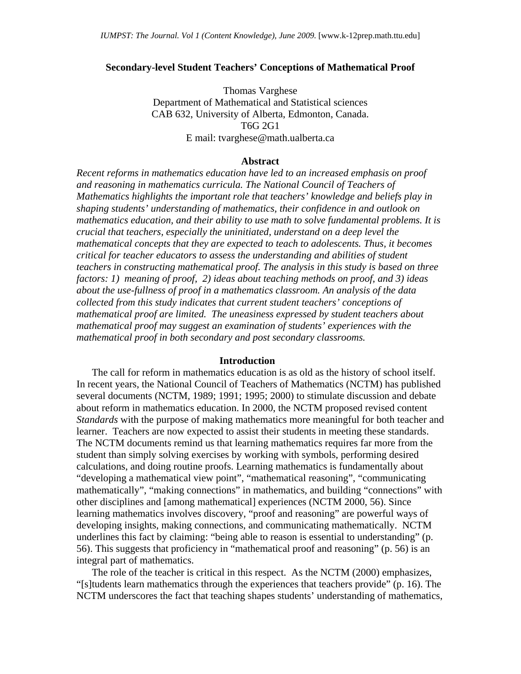#### **Secondary-level Student Teachers' Conceptions of Mathematical Proof**

Thomas Varghese Department of Mathematical and Statistical sciences CAB 632, University of Alberta, Edmonton, Canada. T6G 2G1 E mail: tvarghese@math.ualberta.ca

#### **Abstract**

*Recent reforms in mathematics education have led to an increased emphasis on proof and reasoning in mathematics curricula. The National Council of Teachers of Mathematics highlights the important role that teachers' knowledge and beliefs play in shaping students' understanding of mathematics, their confidence in and outlook on mathematics education, and their ability to use math to solve fundamental problems. It is crucial that teachers, especially the uninitiated, understand on a deep level the mathematical concepts that they are expected to teach to adolescents. Thus, it becomes critical for teacher educators to assess the understanding and abilities of student teachers in constructing mathematical proof. The analysis in this study is based on three factors: 1) meaning of proof, 2) ideas about teaching methods on proof, and 3) ideas about the use-fullness of proof in a mathematics classroom. An analysis of the data collected from this study indicates that current student teachers' conceptions of mathematical proof are limited. The uneasiness expressed by student teachers about mathematical proof may suggest an examination of students' experiences with the mathematical proof in both secondary and post secondary classrooms.* 

### **Introduction**

The call for reform in mathematics education is as old as the history of school itself. In recent years, the National Council of Teachers of Mathematics (NCTM) has published several documents (NCTM, 1989; 1991; 1995; 2000) to stimulate discussion and debate about reform in mathematics education. In 2000, the NCTM proposed revised content *Standards* with the purpose of making mathematics more meaningful for both teacher and learner. Teachers are now expected to assist their students in meeting these standards. The NCTM documents remind us that learning mathematics requires far more from the student than simply solving exercises by working with symbols, performing desired calculations, and doing routine proofs. Learning mathematics is fundamentally about "developing a mathematical view point", "mathematical reasoning", "communicating mathematically", "making connections" in mathematics, and building "connections" with other disciplines and [among mathematical] experiences (NCTM 2000, 56). Since learning mathematics involves discovery, "proof and reasoning" are powerful ways of developing insights, making connections, and communicating mathematically. NCTM underlines this fact by claiming: "being able to reason is essential to understanding" (p. 56). This suggests that proficiency in "mathematical proof and reasoning" (p. 56) is an integral part of mathematics.

The role of the teacher is critical in this respect. As the NCTM (2000) emphasizes, "[s]tudents learn mathematics through the experiences that teachers provide" (p. 16). The NCTM underscores the fact that teaching shapes students' understanding of mathematics,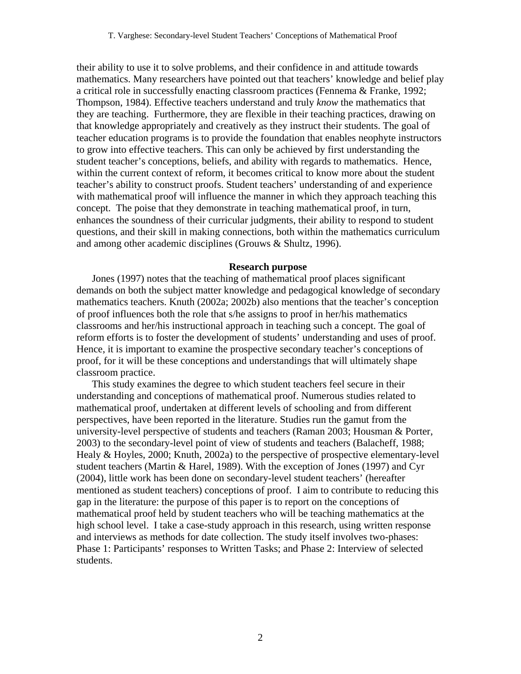their ability to use it to solve problems, and their confidence in and attitude towards mathematics. Many researchers have pointed out that teachers' knowledge and belief play a critical role in successfully enacting classroom practices (Fennema & Franke, 1992; Thompson, 1984). Effective teachers understand and truly *know* the mathematics that they are teaching. Furthermore, they are flexible in their teaching practices, drawing on that knowledge appropriately and creatively as they instruct their students. The goal of teacher education programs is to provide the foundation that enables neophyte instructors to grow into effective teachers. This can only be achieved by first understanding the student teacher's conceptions, beliefs, and ability with regards to mathematics. Hence, within the current context of reform, it becomes critical to know more about the student teacher's ability to construct proofs. Student teachers' understanding of and experience with mathematical proof will influence the manner in which they approach teaching this concept. The poise that they demonstrate in teaching mathematical proof, in turn, enhances the soundness of their curricular judgments, their ability to respond to student questions, and their skill in making connections, both within the mathematics curriculum and among other academic disciplines (Grouws & Shultz, 1996).

#### **Research purpose**

Jones (1997) notes that the teaching of mathematical proof places significant demands on both the subject matter knowledge and pedagogical knowledge of secondary mathematics teachers. Knuth (2002a; 2002b) also mentions that the teacher's conception of proof influences both the role that s/he assigns to proof in her/his mathematics classrooms and her/his instructional approach in teaching such a concept. The goal of reform efforts is to foster the development of students' understanding and uses of proof. Hence, it is important to examine the prospective secondary teacher's conceptions of proof, for it will be these conceptions and understandings that will ultimately shape classroom practice.

This study examines the degree to which student teachers feel secure in their understanding and conceptions of mathematical proof. Numerous studies related to mathematical proof, undertaken at different levels of schooling and from different perspectives, have been reported in the literature. Studies run the gamut from the university-level perspective of students and teachers (Raman 2003; Housman & Porter, 2003) to the secondary-level point of view of students and teachers (Balacheff, 1988; Healy & Hoyles, 2000; Knuth, 2002a) to the perspective of prospective elementary-level student teachers (Martin & Harel, 1989). With the exception of Jones (1997) and Cyr (2004), little work has been done on secondary-level student teachers' (hereafter mentioned as student teachers) conceptions of proof. I aim to contribute to reducing this gap in the literature: the purpose of this paper is to report on the conceptions of mathematical proof held by student teachers who will be teaching mathematics at the high school level. I take a case-study approach in this research, using written response and interviews as methods for date collection. The study itself involves two-phases: Phase 1: Participants' responses to Written Tasks; and Phase 2: Interview of selected students.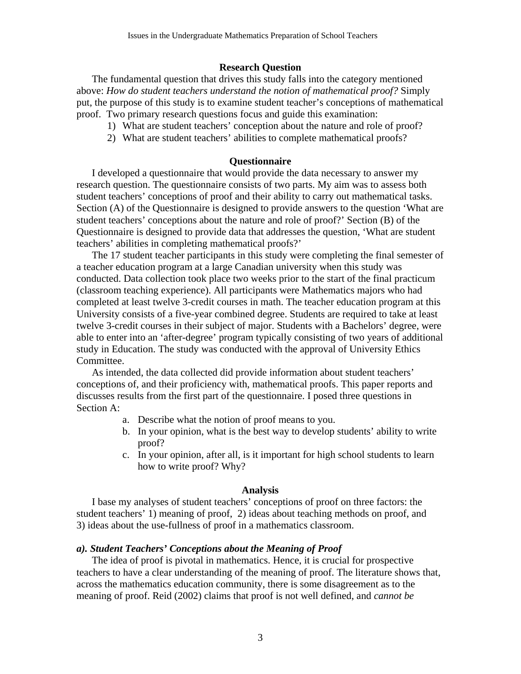### **Research Question**

The fundamental question that drives this study falls into the category mentioned above: *How do student teachers understand the notion of mathematical proof?* Simply put, the purpose of this study is to examine student teacher's conceptions of mathematical proof. Two primary research questions focus and guide this examination:

- 1) What are student teachers' conception about the nature and role of proof?
- 2) What are student teachers' abilities to complete mathematical proofs?

### **Questionnaire**

I developed a questionnaire that would provide the data necessary to answer my research question. The questionnaire consists of two parts. My aim was to assess both student teachers' conceptions of proof and their ability to carry out mathematical tasks. Section (A) of the Questionnaire is designed to provide answers to the question 'What are student teachers' conceptions about the nature and role of proof?' Section (B) of the Questionnaire is designed to provide data that addresses the question, 'What are student teachers' abilities in completing mathematical proofs?'

The 17 student teacher participants in this study were completing the final semester of a teacher education program at a large Canadian university when this study was conducted. Data collection took place two weeks prior to the start of the final practicum (classroom teaching experience). All participants were Mathematics majors who had completed at least twelve 3-credit courses in math. The teacher education program at this University consists of a five-year combined degree. Students are required to take at least twelve 3-credit courses in their subject of major. Students with a Bachelors' degree, were able to enter into an 'after-degree' program typically consisting of two years of additional study in Education. The study was conducted with the approval of University Ethics Committee.

As intended, the data collected did provide information about student teachers' conceptions of, and their proficiency with, mathematical proofs. This paper reports and discusses results from the first part of the questionnaire. I posed three questions in Section A:

- a. Describe what the notion of proof means to you.
- b. In your opinion, what is the best way to develop students' ability to write proof?
- c. In your opinion, after all, is it important for high school students to learn how to write proof? Why?

#### **Analysis**

I base my analyses of student teachers' conceptions of proof on three factors: the student teachers' 1) meaning of proof, 2) ideas about teaching methods on proof, and 3) ideas about the use-fullness of proof in a mathematics classroom.

### *a). Student Teachers' Conceptions about the Meaning of Proof*

The idea of proof is pivotal in mathematics. Hence, it is crucial for prospective teachers to have a clear understanding of the meaning of proof. The literature shows that, across the mathematics education community, there is some disagreement as to the meaning of proof. Reid (2002) claims that proof is not well defined, and *cannot be*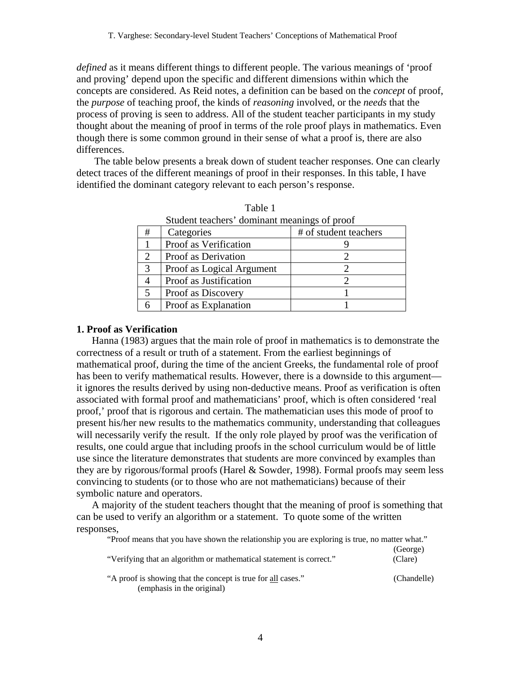*defined* as it means different things to different people. The various meanings of 'proof and proving' depend upon the specific and different dimensions within which the concepts are considered. As Reid notes, a definition can be based on the *concept* of proof, the *purpose* of teaching proof, the kinds of *reasoning* involved, or the *needs* that the process of proving is seen to address. All of the student teacher participants in my study thought about the meaning of proof in terms of the role proof plays in mathematics. Even though there is some common ground in their sense of what a proof is, there are also differences.

 The table below presents a break down of student teacher responses. One can clearly detect traces of the different meanings of proof in their responses. In this table, I have identified the dominant category relevant to each person's response.

| Duuutin waxnees - uummani mvammigs of proof |                           |                       |
|---------------------------------------------|---------------------------|-----------------------|
| #                                           | Categories                | # of student teachers |
|                                             | Proof as Verification     |                       |
| $\mathcal{D}_{\cdot}$                       | Proof as Derivation       |                       |
| 3                                           | Proof as Logical Argument |                       |
|                                             | Proof as Justification    |                       |
| 5                                           | Proof as Discovery        |                       |
|                                             | Proof as Explanation      |                       |

Table 1 Student teachers' dominant meanings of proof

## **1. Proof as Verification**

Hanna (1983) argues that the main role of proof in mathematics is to demonstrate the correctness of a result or truth of a statement. From the earliest beginnings of mathematical proof, during the time of the ancient Greeks, the fundamental role of proof has been to verify mathematical results. However, there is a downside to this argument it ignores the results derived by using non-deductive means. Proof as verification is often associated with formal proof and mathematicians' proof, which is often considered 'real proof,' proof that is rigorous and certain. The mathematician uses this mode of proof to present his/her new results to the mathematics community, understanding that colleagues will necessarily verify the result. If the only role played by proof was the verification of results, one could argue that including proofs in the school curriculum would be of little use since the literature demonstrates that students are more convinced by examples than they are by rigorous/formal proofs (Harel & Sowder, 1998). Formal proofs may seem less convincing to students (or to those who are not mathematicians) because of their symbolic nature and operators.

A majority of the student teachers thought that the meaning of proof is something that can be used to verify an algorithm or a statement. To quote some of the written responses,

| "Proof means that you have shown the relationship you are exploring is true, no matter what." |                     |
|-----------------------------------------------------------------------------------------------|---------------------|
| "Verifying that an algorithm or mathematical statement is correct."                           | (George)<br>(Clare) |
| "A proof is showing that the concept is true for all cases."<br>(emphasis in the original)    | (Chandelle)         |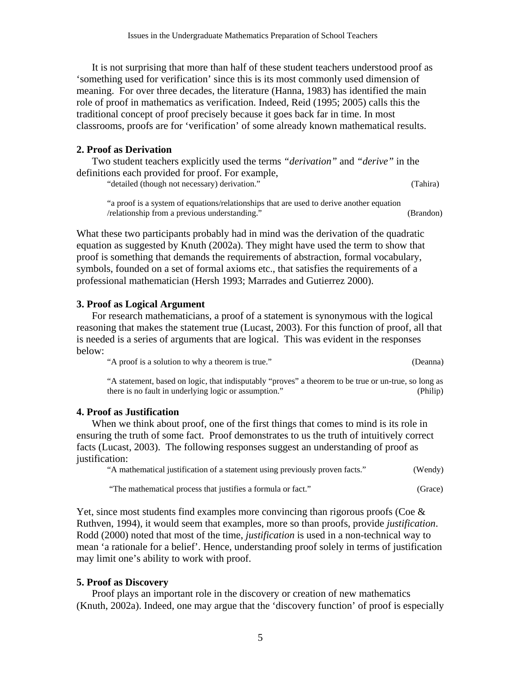It is not surprising that more than half of these student teachers understood proof as 'something used for verification' since this is its most commonly used dimension of meaning. For over three decades, the literature (Hanna, 1983) has identified the main role of proof in mathematics as verification. Indeed, Reid (1995; 2005) calls this the traditional concept of proof precisely because it goes back far in time. In most classrooms, proofs are for 'verification' of some already known mathematical results.

### **2. Proof as Derivation**

Two student teachers explicitly used the terms *"derivation"* and *"derive"* in the definitions each provided for proof. For example,

"detailed (though not necessary) derivation." (Tahira)

"a proof is a system of equations/relationships that are used to derive another equation /relationship from a previous understanding." (Brandon)

What these two participants probably had in mind was the derivation of the quadratic equation as suggested by Knuth (2002a). They might have used the term to show that proof is something that demands the requirements of abstraction, formal vocabulary, symbols, founded on a set of formal axioms etc., that satisfies the requirements of a professional mathematician (Hersh 1993; Marrades and Gutierrez 2000).

#### **3. Proof as Logical Argument**

For research mathematicians, a proof of a statement is synonymous with the logical reasoning that makes the statement true (Lucast, 2003). For this function of proof, all that is needed is a series of arguments that are logical. This was evident in the responses below:

"A proof is a solution to why a theorem is true." (Deanna)

"A statement, based on logic, that indisputably "proves" a theorem to be true or un-true, so long as there is no fault in underlying logic or assumption." (Philip)

### **4. Proof as Justification**

When we think about proof, one of the first things that comes to mind is its role in ensuring the truth of some fact. Proof demonstrates to us the truth of intuitively correct facts (Lucast, 2003). The following responses suggest an understanding of proof as justification:

| "A mathematical justification of a statement using previously proven facts." |  |  | (Wendy) |
|------------------------------------------------------------------------------|--|--|---------|
|------------------------------------------------------------------------------|--|--|---------|

"The mathematical process that justifies a formula or fact." (Grace)

Yet, since most students find examples more convincing than rigorous proofs (Coe  $\&$ Ruthven, 1994), it would seem that examples, more so than proofs, provide *justification*. Rodd (2000) noted that most of the time, *justification* is used in a non-technical way to mean 'a rationale for a belief'. Hence, understanding proof solely in terms of justification may limit one's ability to work with proof.

#### **5. Proof as Discovery**

Proof plays an important role in the discovery or creation of new mathematics (Knuth, 2002a). Indeed, one may argue that the 'discovery function' of proof is especially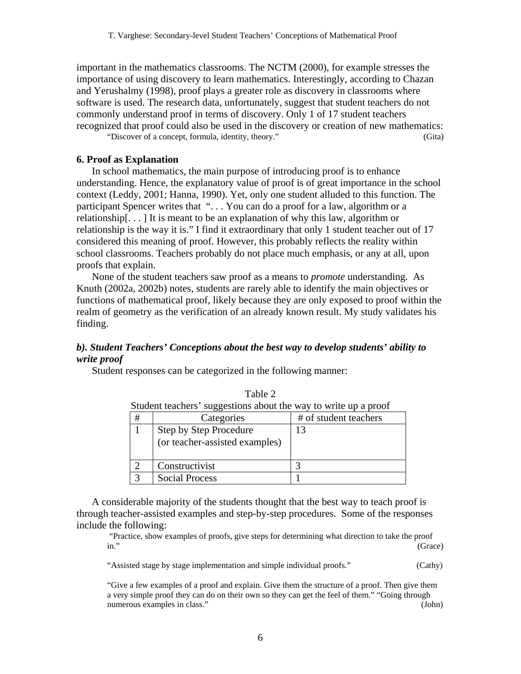important in the mathematics classrooms. The NCTM (2000), for example stresses the importance of using discovery to learn mathematics. Interestingly, according to Chazan and Yerushalmy (1998), proof plays a greater role as discovery in classrooms where software is used. The research data, unfortunately, suggest that student teachers do not commonly understand proof in terms of discovery. Only 1 of 17 student teachers recognized that proof could also be used in the discovery or creation of new mathematics: "Discover of a concept, formula, identity, theory." (Gita)

### **6. Proof as Explanation**

In school mathematics, the main purpose of introducing proof is to enhance understanding. Hence, the explanatory value of proof is of great importance in the school context (Leddy, 2001; Hanna, 1990). Yet, only one student alluded to this function. The participant Spencer writes that "... You can do a proof for a law, algorithm or a relationship[. . . ] It is meant to be an explanation of why this law, algorithm or relationship is the way it is." I find it extraordinary that only 1 student teacher out of 17 considered this meaning of proof. However, this probably reflects the reality within school classrooms. Teachers probably do not place much emphasis, or any at all, upon proofs that explain.

None of the student teachers saw proof as a means to *promote* understanding. As Knuth (2002a, 2002b) notes, students are rarely able to identify the main objectives or functions of mathematical proof, likely because they are only exposed to proof within the realm of geometry as the verification of an already known result. My study validates his finding.

# *b). Student Teachers' Conceptions about the best way to develop students' ability to write proof*

Student responses can be categorized in the following manner:

| Suddent teachers suggestions about the way to write up a proof |                                |                       |  |
|----------------------------------------------------------------|--------------------------------|-----------------------|--|
| #                                                              | Categories                     | # of student teachers |  |
|                                                                | Step by Step Procedure         |                       |  |
|                                                                | (or teacher-assisted examples) |                       |  |
|                                                                | Constructivist                 |                       |  |
|                                                                | <b>Social Process</b>          |                       |  |

Table 2 Student teachers' suggestions about the way to write up a proof

A considerable majority of the students thought that the best way to teach proof is through teacher-assisted examples and step-by-step procedures. Some of the responses include the following:

 "Practice, show examples of proofs, give steps for determining what direction to take the proof in." (Grace)

"Assisted stage by stage implementation and simple individual proofs." (Cathy)

"Give a few examples of a proof and explain. Give them the structure of a proof. Then give them a very simple proof they can do on their own so they can get the feel of them." "Going through numerous examples in class." (John)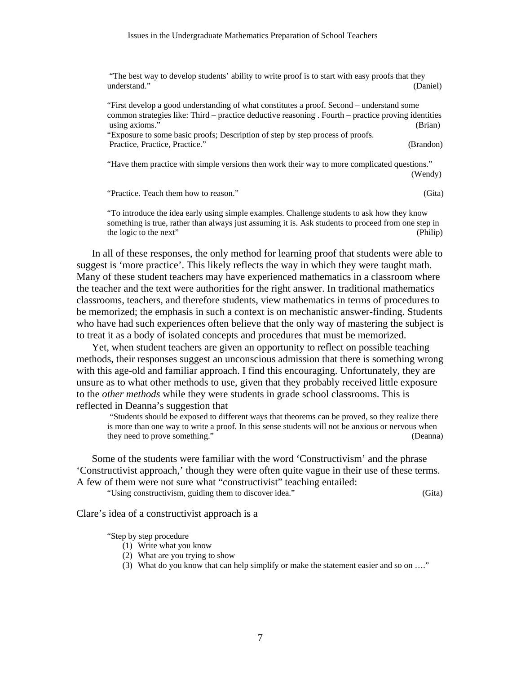"The best way to develop students' ability to write proof is to start with easy proofs that they understand." (Daniel)

"First develop a good understanding of what constitutes a proof. Second – understand some common strategies like: Third – practice deductive reasoning . Fourth – practice proving identities using axioms." (Brian)

"Exposure to some basic proofs; Description of step by step process of proofs. Practice, Practice, Practice." (Brandon)

"Have them practice with simple versions then work their way to more complicated questions." (Wendy)

"Practice. Teach them how to reason." (Gita)

"To introduce the idea early using simple examples. Challenge students to ask how they know something is true, rather than always just assuming it is. Ask students to proceed from one step in the logic to the next" (Philip)

In all of these responses, the only method for learning proof that students were able to suggest is 'more practice'. This likely reflects the way in which they were taught math. Many of these student teachers may have experienced mathematics in a classroom where the teacher and the text were authorities for the right answer. In traditional mathematics classrooms, teachers, and therefore students, view mathematics in terms of procedures to be memorized; the emphasis in such a context is on mechanistic answer-finding. Students who have had such experiences often believe that the only way of mastering the subject is to treat it as a body of isolated concepts and procedures that must be memorized.

Yet, when student teachers are given an opportunity to reflect on possible teaching methods, their responses suggest an unconscious admission that there is something wrong with this age-old and familiar approach. I find this encouraging. Unfortunately, they are unsure as to what other methods to use, given that they probably received little exposure to the *other methods* while they were students in grade school classrooms. This is reflected in Deanna's suggestion that

"Students should be exposed to different ways that theorems can be proved, so they realize there is more than one way to write a proof. In this sense students will not be anxious or nervous when they need to prove something." (Deanna)

Some of the students were familiar with the word 'Constructivism' and the phrase 'Constructivist approach,' though they were often quite vague in their use of these terms. A few of them were not sure what "constructivist" teaching entailed:

"Using constructivism, guiding them to discover idea." (Gita)

Clare's idea of a constructivist approach is a

"Step by step procedure

- (1) Write what you know
- (2) What are you trying to show
- (3) What do you know that can help simplify or make the statement easier and so on …."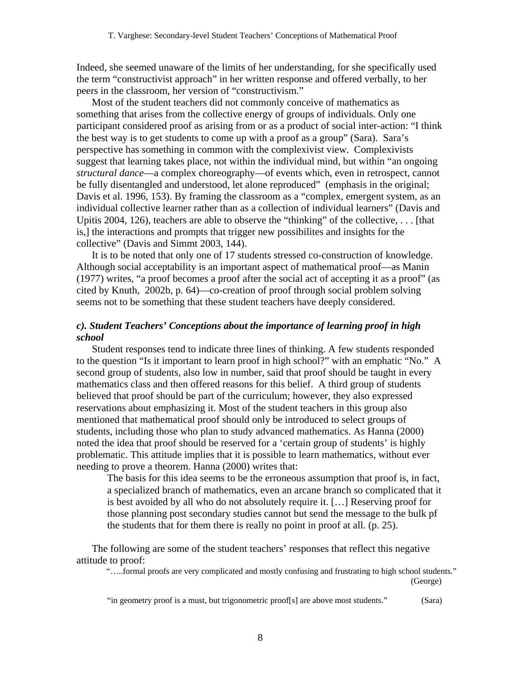Indeed, she seemed unaware of the limits of her understanding, for she specifically used the term "constructivist approach" in her written response and offered verbally, to her peers in the classroom, her version of "constructivism."

Most of the student teachers did not commonly conceive of mathematics as something that arises from the collective energy of groups of individuals. Only one participant considered proof as arising from or as a product of social inter-action: "I think the best way is to get students to come up with a proof as a group" (Sara). Sara's perspective has something in common with the complexivist view. Complexivists suggest that learning takes place, not within the individual mind, but within "an ongoing *structural dance*—a complex choreography—of events which, even in retrospect, cannot be fully disentangled and understood, let alone reproduced" (emphasis in the original; Davis et al. 1996, 153). By framing the classroom as a "complex, emergent system, as an individual collective learner rather than as a collection of individual learners" (Davis and Upitis 2004, 126), teachers are able to observe the "thinking" of the collective, . . . [that is,] the interactions and prompts that trigger new possibilites and insights for the collective" (Davis and Simmt 2003, 144).

It is to be noted that only one of 17 students stressed co-construction of knowledge. Although social acceptability is an important aspect of mathematical proof—as Manin (1977) writes, "a proof becomes a proof after the social act of accepting it as a proof" (as cited by Knuth, 2002b, p. 64)—co-creation of proof through social problem solving seems not to be something that these student teachers have deeply considered.

## *c). Student Teachers' Conceptions about the importance of learning proof in high school*

Student responses tend to indicate three lines of thinking. A few students responded to the question "Is it important to learn proof in high school?" with an emphatic "No." A second group of students, also low in number, said that proof should be taught in every mathematics class and then offered reasons for this belief. A third group of students believed that proof should be part of the curriculum; however, they also expressed reservations about emphasizing it. Most of the student teachers in this group also mentioned that mathematical proof should only be introduced to select groups of students, including those who plan to study advanced mathematics. As Hanna (2000) noted the idea that proof should be reserved for a 'certain group of students' is highly problematic. This attitude implies that it is possible to learn mathematics, without ever needing to prove a theorem. Hanna (2000) writes that:

The basis for this idea seems to be the erroneous assumption that proof is, in fact, a specialized branch of mathematics, even an arcane branch so complicated that it is best avoided by all who do not absolutely require it. […] Reserving proof for those planning post secondary studies cannot but send the message to the bulk pf the students that for them there is really no point in proof at all. (p. 25).

The following are some of the student teachers' responses that reflect this negative attitude to proof:

"…..formal proofs are very complicated and mostly confusing and frustrating to high school students." (George)

"in geometry proof is a must, but trigonometric proof[s] are above most students." (Sara)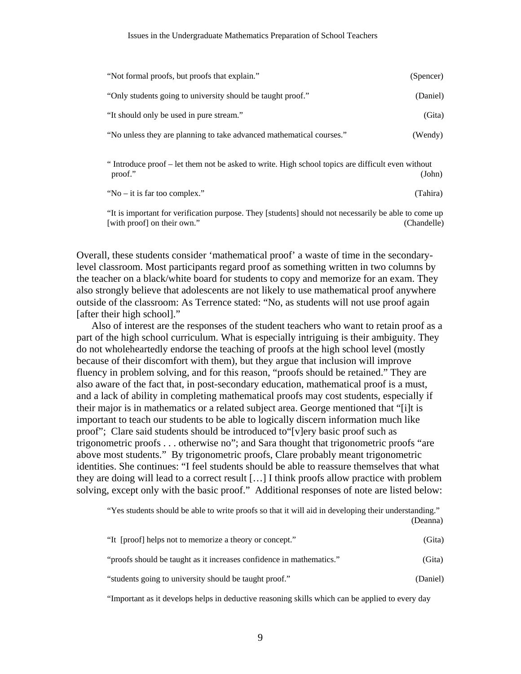| "Not formal proofs, but proofs that explain."                                                    | (Spencer) |
|--------------------------------------------------------------------------------------------------|-----------|
| "Only students going to university should be taught proof."                                      | (Daniel)  |
| "It should only be used in pure stream."                                                         | (Gita)    |
| "No unless they are planning to take advanced mathematical courses."                             | (Wendy)   |
| "Introduce proof – let them not be asked to write. High school topics are difficult even without |           |

proof." (John)

"No – it is far too complex." (Tahira)

 "It is important for verification purpose. They [students] should not necessarily be able to come up [with proof] on their own." (Chandelle)

Overall, these students consider 'mathematical proof' a waste of time in the secondarylevel classroom. Most participants regard proof as something written in two columns by the teacher on a black/white board for students to copy and memorize for an exam. They also strongly believe that adolescents are not likely to use mathematical proof anywhere outside of the classroom: As Terrence stated: "No, as students will not use proof again [after their high school]."

 Also of interest are the responses of the student teachers who want to retain proof as a part of the high school curriculum. What is especially intriguing is their ambiguity. They do not wholeheartedly endorse the teaching of proofs at the high school level (mostly because of their discomfort with them), but they argue that inclusion will improve fluency in problem solving, and for this reason, "proofs should be retained." They are also aware of the fact that, in post-secondary education, mathematical proof is a must, and a lack of ability in completing mathematical proofs may cost students, especially if their major is in mathematics or a related subject area. George mentioned that "[i]t is important to teach our students to be able to logically discern information much like proof"; Clare said students should be introduced to"[v]ery basic proof such as trigonometric proofs . . . otherwise no"; and Sara thought that trigonometric proofs "are above most students." By trigonometric proofs, Clare probably meant trigonometric identities. She continues: "I feel students should be able to reassure themselves that what they are doing will lead to a correct result […] I think proofs allow practice with problem solving, except only with the basic proof." Additional responses of note are listed below:

"Yes students should be able to write proofs so that it will aid in developing their understanding." (Deanna)

| "It [proof] helps not to memorize a theory or concept."              | (Gita)   |
|----------------------------------------------------------------------|----------|
| "proofs should be taught as it increases confidence in mathematics." | (Gita)   |
| "students going to university should be taught proof."               | (Daniel) |

"Important as it develops helps in deductive reasoning skills which can be applied to every day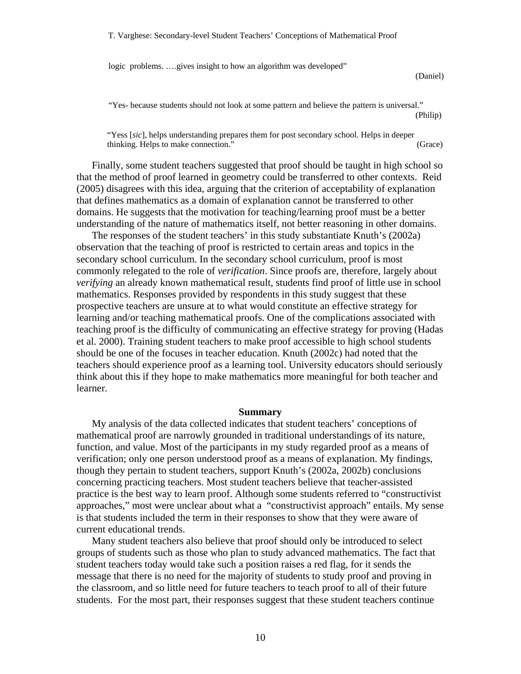logic problems. ....gives insight to how an algorithm was developed"

(Daniel)

 "Yes- because students should not look at some pattern and believe the pattern is universal." (Philip)

"Yess [*sic*], helps understanding prepares them for post secondary school. Helps in deeper thinking. Helps to make connection." (Grace)

Finally, some student teachers suggested that proof should be taught in high school so that the method of proof learned in geometry could be transferred to other contexts. Reid (2005) disagrees with this idea, arguing that the criterion of acceptability of explanation that defines mathematics as a domain of explanation cannot be transferred to other domains. He suggests that the motivation for teaching/learning proof must be a better understanding of the nature of mathematics itself, not better reasoning in other domains.

The responses of the student teachers' in this study substantiate Knuth's (2002a) observation that the teaching of proof is restricted to certain areas and topics in the secondary school curriculum. In the secondary school curriculum, proof is most commonly relegated to the role of *verification*. Since proofs are, therefore, largely about *verifying* an already known mathematical result, students find proof of little use in school mathematics. Responses provided by respondents in this study suggest that these prospective teachers are unsure at to what would constitute an effective strategy for learning and/or teaching mathematical proofs. One of the complications associated with teaching proof is the difficulty of communicating an effective strategy for proving (Hadas et al. 2000). Training student teachers to make proof accessible to high school students should be one of the focuses in teacher education. Knuth (2002c) had noted that the teachers should experience proof as a learning tool. University educators should seriously think about this if they hope to make mathematics more meaningful for both teacher and learner.

#### **Summary**

My analysis of the data collected indicates that student teachers' conceptions of mathematical proof are narrowly grounded in traditional understandings of its nature, function, and value. Most of the participants in my study regarded proof as a means of verification; only one person understood proof as a means of explanation. My findings, though they pertain to student teachers, support Knuth's (2002a, 2002b) conclusions concerning practicing teachers. Most student teachers believe that teacher-assisted practice is the best way to learn proof. Although some students referred to "constructivist approaches," most were unclear about what a "constructivist approach" entails. My sense is that students included the term in their responses to show that they were aware of current educational trends.

Many student teachers also believe that proof should only be introduced to select groups of students such as those who plan to study advanced mathematics. The fact that student teachers today would take such a position raises a red flag, for it sends the message that there is no need for the majority of students to study proof and proving in the classroom, and so little need for future teachers to teach proof to all of their future students. For the most part, their responses suggest that these student teachers continue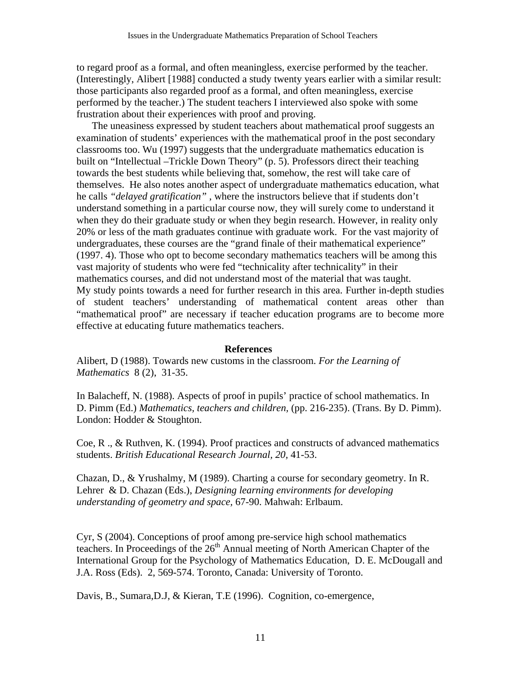to regard proof as a formal, and often meaningless, exercise performed by the teacher. (Interestingly, Alibert [1988] conducted a study twenty years earlier with a similar result: those participants also regarded proof as a formal, and often meaningless, exercise performed by the teacher.) The student teachers I interviewed also spoke with some frustration about their experiences with proof and proving.

The uneasiness expressed by student teachers about mathematical proof suggests an examination of students' experiences with the mathematical proof in the post secondary classrooms too. Wu (1997) suggests that the undergraduate mathematics education is built on "Intellectual –Trickle Down Theory" (p. 5). Professors direct their teaching towards the best students while believing that, somehow, the rest will take care of themselves. He also notes another aspect of undergraduate mathematics education, what he calls *"delayed gratification"* , where the instructors believe that if students don't understand something in a particular course now, they will surely come to understand it when they do their graduate study or when they begin research. However, in reality only 20% or less of the math graduates continue with graduate work. For the vast majority of undergraduates, these courses are the "grand finale of their mathematical experience" (1997. 4). Those who opt to become secondary mathematics teachers will be among this vast majority of students who were fed "technicality after technicality" in their mathematics courses, and did not understand most of the material that was taught. My study points towards a need for further research in this area. Further in-depth studies of student teachers' understanding of mathematical content areas other than "mathematical proof" are necessary if teacher education programs are to become more effective at educating future mathematics teachers.

## **References**

Alibert, D (1988). Towards new customs in the classroom. *For the Learning of Mathematics* 8 (2), 31-35.

In Balacheff, N. (1988). Aspects of proof in pupils' practice of school mathematics. In D. Pimm (Ed.) *Mathematics, teachers and children,* (pp. 216-235). (Trans. By D. Pimm). London: Hodder & Stoughton.

Coe, R ., & Ruthven, K. (1994). Proof practices and constructs of advanced mathematics students. *British Educational Research Journal, 20,* 41-53.

Chazan, D., & Yrushalmy, M (1989). Charting a course for secondary geometry. In R. Lehrer & D. Chazan (Eds.), *Designing learning environments for developing understanding of geometry and space,* 67-90. Mahwah: Erlbaum.

Cyr, S (2004). Conceptions of proof among pre-service high school mathematics teachers. In Proceedings of the  $26<sup>th</sup>$  Annual meeting of North American Chapter of the International Group for the Psychology of Mathematics Education, D. E. McDougall and J.A. Ross (Eds). 2, 569-574. Toronto, Canada: University of Toronto.

Davis, B., Sumara,D.J, & Kieran, T.E (1996). Cognition, co-emergence,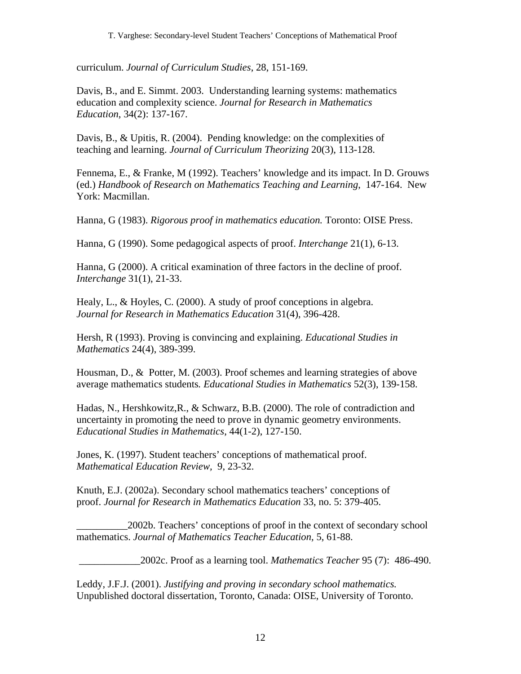T. Varghese: Secondary-level Student Teachers' Conceptions of Mathematical Proof

curriculum. *Journal of Curriculum Studies*, 28, 151-169.

Davis, B., and E. Simmt. 2003. Understanding learning systems: mathematics education and complexity science. *Journal for Research in Mathematics Education*, 34(2): 137-167.

Davis, B., & Upitis, R. (2004). Pending knowledge: on the complexities of teaching and learning. *Journal of Curriculum Theorizing* 20(3), 113-128.

Fennema, E., & Franke, M (1992). Teachers' knowledge and its impact. In D. Grouws (ed.) *Handbook of Research on Mathematics Teaching and Learning*, 147-164. New York: Macmillan.

Hanna, G (1983). *Rigorous proof in mathematics education.* Toronto: OISE Press.

Hanna, G (1990). Some pedagogical aspects of proof. *Interchange* 21(1), 6-13.

Hanna, G (2000). A critical examination of three factors in the decline of proof. *Interchange* 31(1), 21-33.

Healy, L., & Hoyles, C. (2000). A study of proof conceptions in algebra. *Journal for Research in Mathematics Education* 31(4), 396-428.

Hersh, R (1993). Proving is convincing and explaining. *Educational Studies in Mathematics* 24(4), 389-399.

Housman, D., & Potter, M. (2003). Proof schemes and learning strategies of above average mathematics students*. Educational Studies in Mathematics* 52(3), 139-158.

Hadas, N., Hershkowitz,R., & Schwarz, B.B. (2000). The role of contradiction and uncertainty in promoting the need to prove in dynamic geometry environments. *Educational Studies in Mathematics*, 44(1-2), 127-150.

Jones, K. (1997). Student teachers' conceptions of mathematical proof. *Mathematical Education Review,* 9, 23-32.

Knuth, E.J. (2002a). Secondary school mathematics teachers' conceptions of proof. *Journal for Research in Mathematics Education* 33, no. 5: 379-405.

\_\_\_\_\_\_\_\_\_\_2002b. Teachers' conceptions of proof in the context of secondary school mathematics. *Journal of Mathematics Teacher Education,* 5, 61-88.

\_\_\_\_\_\_\_\_\_\_\_\_2002c. Proof as a learning tool. *Mathematics Teacher* 95 (7): 486-490.

Leddy, J.F.J. (2001). *Justifying and proving in secondary school mathematics.* Unpublished doctoral dissertation, Toronto, Canada: OISE, University of Toronto.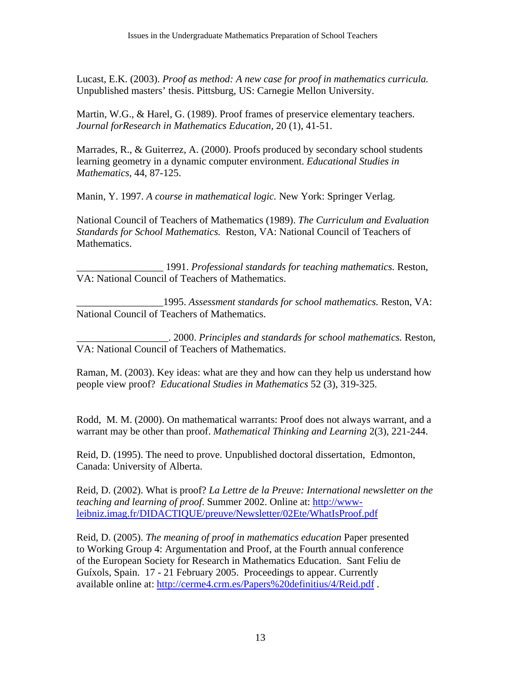Lucast, E.K. (2003). *Proof as method: A new case for proof in mathematics curricula.*  Unpublished masters' thesis. Pittsburg, US: Carnegie Mellon University.

Martin, W.G., & Harel, G. (1989). Proof frames of preservice elementary teachers. *Journal forResearch in Mathematics Education,* 20 (1), 41-51.

Marrades, R., & Guiterrez, A. (2000). Proofs produced by secondary school students learning geometry in a dynamic computer environment. *Educational Studies in Mathematics,* 44, 87-125.

Manin, Y. 1997. *A course in mathematical logic.* New York: Springer Verlag.

National Council of Teachers of Mathematics (1989). *The Curriculum and Evaluation Standards for School Mathematics.* Reston, VA: National Council of Teachers of Mathematics.

\_\_\_\_\_\_\_\_\_\_\_\_\_\_\_\_\_ 1991. *Professional standards for teaching mathematics.* Reston, VA: National Council of Teachers of Mathematics.

\_\_\_\_\_\_\_\_\_\_\_\_\_\_\_\_\_1995. *Assessment standards for school mathematics.* Reston, VA: National Council of Teachers of Mathematics.

\_\_\_\_\_\_\_\_\_\_\_\_\_\_\_\_\_\_. 2000. *Principles and standards for school mathematics.* Reston, VA: National Council of Teachers of Mathematics.

Raman, M. (2003). Key ideas: what are they and how can they help us understand how people view proof? *Educational Studies in Mathematics* 52 (3), 319-325.

Rodd, M. M. (2000). On mathematical warrants: Proof does not always warrant, and a warrant may be other than proof. *Mathematical Thinking and Learning* 2(3), 221-244.

Reid, D. (1995). The need to prove. Unpublished doctoral dissertation, Edmonton, Canada: University of Alberta.

Reid, D. (2002). What is proof? *La Lettre de la Preuve: International newsletter on the teaching and learning of proof*. Summer 2002. Online at: http://wwwleibniz.imag.fr/DIDACTIQUE/preuve/Newsletter/02Ete/WhatIsProof.pdf

Reid, D. (2005). *The meaning of proof in mathematics education* Paper presented to Working Group 4: Argumentation and Proof, at the Fourth annual conference of the European Society for Research in Mathematics Education. Sant Feliu de Guíxols, Spain. 17 - 21 February 2005. Proceedings to appear. Currently available online at: http://cerme4.crm.es/Papers%20definitius/4/Reid.pdf.